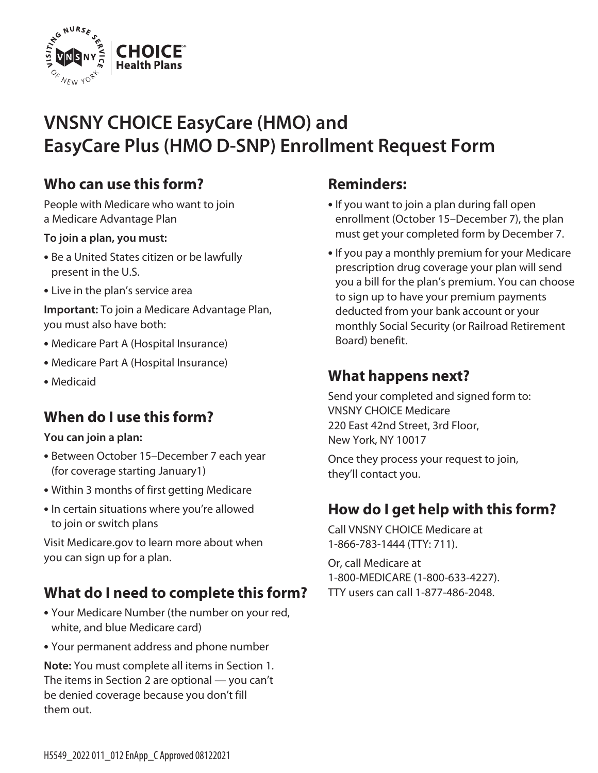

# **VNSNY CHOICE EasyCare (HMO) and EasyCare Plus (HMO D-SNP) Enrollment Request Form**

### **Who can use this form?**

People with Medicare who want to join a Medicare Advantage Plan

#### **To join a plan, you must:**

- Be a United States citizen or be lawfully present in the U.S.
- Live in the plan's service area

**Important:** To join a Medicare Advantage Plan, you must also have both:

- Medicare Part A (Hospital Insurance)
- Medicare Part A (Hospital Insurance)
- Medicaid

### **When do I use this form?**

#### **You can join a plan:**

- Between October 15–December 7 each year (for coverage starting January1)
- Within 3 months of first getting Medicare
- In certain situations where you're allowed to join or switch plans

Visit [Medicare.gov](http://Medicare.gov) to learn more about when you can sign up for a plan.

# **What do I need to complete this form?**

- Your Medicare Number (the number on your red, white, and blue Medicare card)
- Your permanent address and phone number

**Note:** You must complete all items in Section 1. The items in Section 2 are optional — you can't be denied coverage because you don't fill them out.

#### **Reminders:**

- If you want to join a plan during fall open enrollment (October 15–December 7), the plan must get your completed form by December 7.
- If you pay a monthly premium for your Medicare prescription drug coverage your plan will send you a bill for the plan's premium. You can choose to sign up to have your premium payments deducted from your bank account or your monthly Social Security (or Railroad Retirement Board) benefit.

#### **What happens next?**

Send your completed and signed form to: VNSNY CHOICE Medicare 220 East 42nd Street, 3rd Floor, New York, NY 10017

Once they process your request to join, they'll contact you.

### **How do I get help with this form?**

Call VNSNY CHOICE Medicare at 1-866-783-1444 (TTY: 711).

Or, call Medicare at 1-800-MEDICARE (1-800-633-4227). TTY users can call 1-877-486-2048.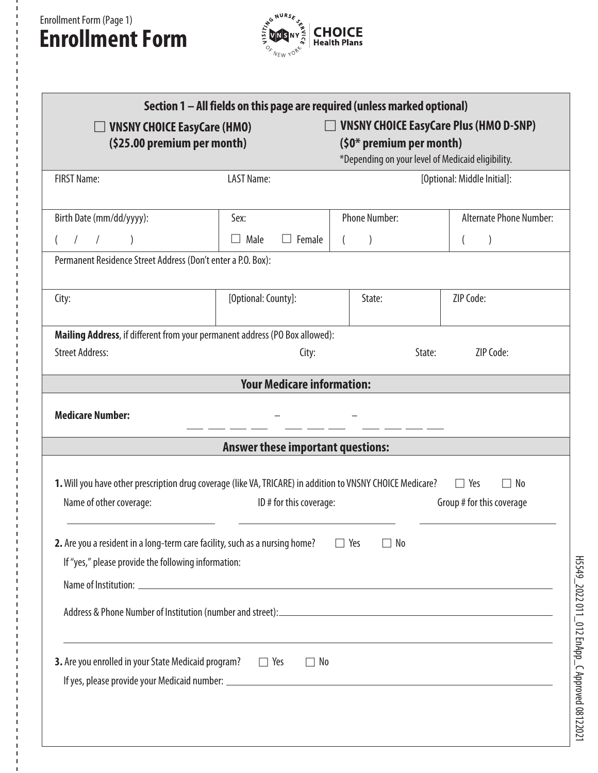# Enrollment Form (Page 1) **Enrollment Form**



| Section 1 – All fields on this page are required (unless marked optional)<br><b>VNSNY CHOICE EasyCare Plus (HMO D-SNP)</b><br><b>VNSNY CHOICE EasyCare (HMO)</b><br>(\$25.00 premium per month)<br>(\$0* premium per month)<br>*Depending on your level of Medicaid eligibility. |                                                                          |                      |                                |  |
|----------------------------------------------------------------------------------------------------------------------------------------------------------------------------------------------------------------------------------------------------------------------------------|--------------------------------------------------------------------------|----------------------|--------------------------------|--|
| <b>FIRST Name:</b>                                                                                                                                                                                                                                                               | <b>LAST Name:</b>                                                        |                      | [Optional: Middle Initial]:    |  |
| Birth Date (mm/dd/yyyy):                                                                                                                                                                                                                                                         | Sex:                                                                     | <b>Phone Number:</b> | <b>Alternate Phone Number:</b> |  |
| $\prime$                                                                                                                                                                                                                                                                         | Male<br>Female<br>$\perp$                                                |                      | $\overline{ }$                 |  |
| Permanent Residence Street Address (Don't enter a P.O. Box):                                                                                                                                                                                                                     |                                                                          |                      |                                |  |
| City:                                                                                                                                                                                                                                                                            | [Optional: County]:                                                      | State:               | ZIP Code:                      |  |
| Mailing Address, if different from your permanent address (PO Box allowed):                                                                                                                                                                                                      |                                                                          |                      |                                |  |
| <b>Street Address:</b>                                                                                                                                                                                                                                                           | City:                                                                    | State:               | ZIP Code:                      |  |
|                                                                                                                                                                                                                                                                                  | <b>Your Medicare information:</b>                                        |                      |                                |  |
| <b>Medicare Number:</b>                                                                                                                                                                                                                                                          |                                                                          |                      |                                |  |
| <b>Answer these important questions:</b>                                                                                                                                                                                                                                         |                                                                          |                      |                                |  |
| 1. Will you have other prescription drug coverage (like VA, TRICARE) in addition to VNSNY CHOICE Medicare?<br>$\Box$ Yes<br>$\Box$ No<br>Name of other coverage:<br>ID # for this coverage:<br>Group # for this coverage                                                         |                                                                          |                      |                                |  |
| 2. Are you a resident in a long-term care facility, such as a nursing home?<br>Yes<br>$\Box$ No<br>$\Box$<br>If "yes," please provide the following information:                                                                                                                 |                                                                          |                      |                                |  |
|                                                                                                                                                                                                                                                                                  |                                                                          |                      |                                |  |
|                                                                                                                                                                                                                                                                                  |                                                                          |                      |                                |  |
| 3. Are you enrolled in your State Medicaid program?<br>T Yes                                                                                                                                                                                                                     | <u> 1989 - Johann Stoff, amerikansk politiker (d. 1989)</u><br>$\Box$ No |                      |                                |  |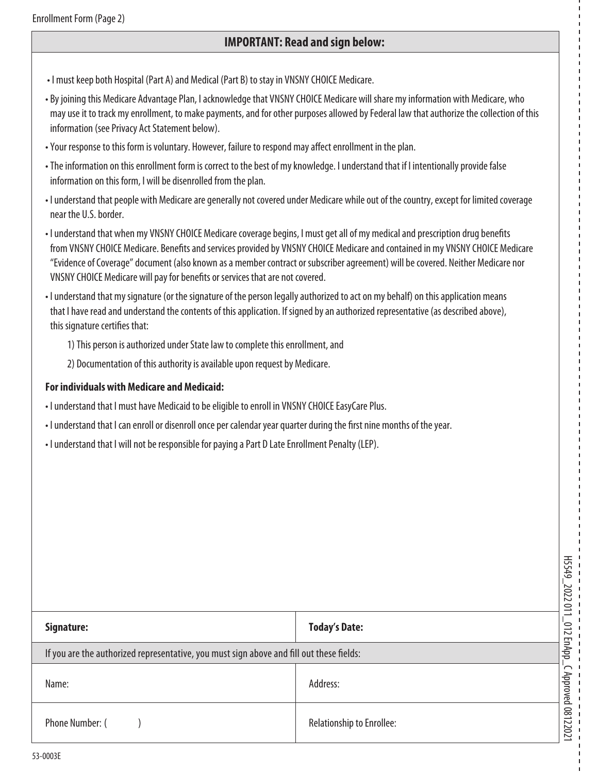#### **IMPORTANT: Read and sign below:**

- I must keep both Hospital (Part A) and Medical (Part B) to stay in VNSNY CHOICE Medicare.
- By joining this Medicare Advantage Plan, I acknowledge that VNSNY CHOICE Medicare will share my information with Medicare, who may use it to track my enrollment, to make payments, and for other purposes allowed by Federal law that authorize the collection of this information (see Privacy Act Statement below).
- Your response to this form is voluntary. However, failure to respond may affect enrollment in the plan.
- The information on this enrollment form is correct to the best of my knowledge. I understand that if I intentionally provide false information on this form, I will be disenrolled from the plan.
- I understand that people with Medicare are generally not covered under Medicare while out of the country, except for limited coverage near the U.S. border.
- I understand that when my VNSNY CHOICE Medicare coverage begins, I must get all of my medical and prescription drug benefits from VNSNY CHOICE Medicare. Benefits and services provided by VNSNY CHOICE Medicare and contained in my VNSNY CHOICE Medicare "Evidence of Coverage" document (also known as a member contract or subscriber agreement) will be covered. Neither Medicare nor VNSNY CHOICE Medicare will pay for benefits or services that are not covered.
- I understand that my signature (or the signature of the person legally authorized to act on my behalf) on this application means that I have read and understand the contents of this application. If signed by an authorized representative (as described above), this signature certifies that:
	- 1) This person is authorized under State law to complete this enrollment, and
	- 2) Documentation of this authority is available upon request by Medicare.

#### **For individuals with Medicare and Medicaid:**

- I understand that I must have Medicaid to be eligible to enroll in VNSNY CHOICE EasyCare Plus.
- I understand that I can enroll or disenroll once per calendar year quarter during the first nine months of the year.
- I understand that I will not be responsible for paying a Part D Late Enrollment Penalty (LEP).

|                                                                                          |                                  | H5549_              |
|------------------------------------------------------------------------------------------|----------------------------------|---------------------|
| Signature:                                                                               | <b>Today's Date:</b>             | 2022 011_012 EnApp  |
| If you are the authorized representative, you must sign above and fill out these fields: |                                  |                     |
| Name:                                                                                    | Address:                         |                     |
| Phone Number: (                                                                          | <b>Relationship to Enrollee:</b> | C Approved 08122021 |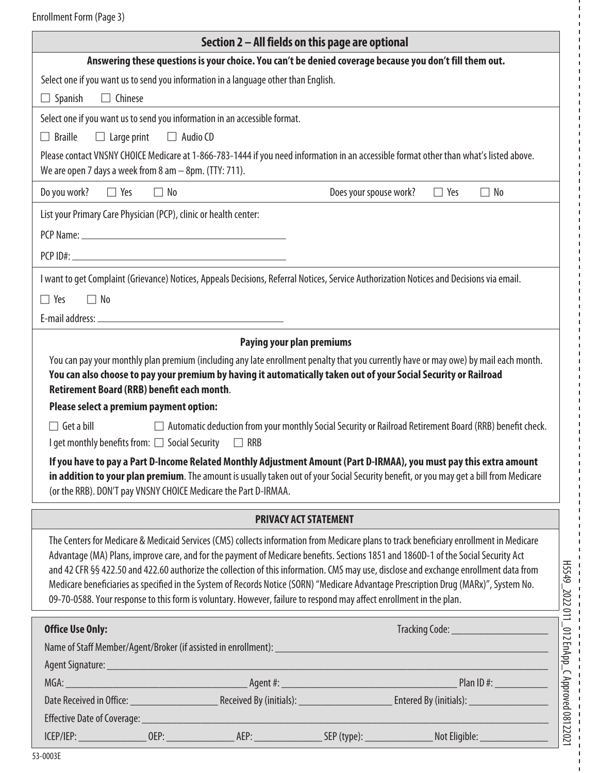Enrollment Form (Page 3)

|                                                                                                                                                                                         | Section 2 – All fields on this page are optional                                                                                                                                                                                                                                                                                                                                                                                                                                                                                                                                                                                                                                      |
|-----------------------------------------------------------------------------------------------------------------------------------------------------------------------------------------|---------------------------------------------------------------------------------------------------------------------------------------------------------------------------------------------------------------------------------------------------------------------------------------------------------------------------------------------------------------------------------------------------------------------------------------------------------------------------------------------------------------------------------------------------------------------------------------------------------------------------------------------------------------------------------------|
|                                                                                                                                                                                         | Answering these questions is your choice. You can't be denied coverage because you don't fill them out.                                                                                                                                                                                                                                                                                                                                                                                                                                                                                                                                                                               |
| Select one if you want us to send you information in a language other than English.                                                                                                     |                                                                                                                                                                                                                                                                                                                                                                                                                                                                                                                                                                                                                                                                                       |
| $\Box$ Spanish<br>$\Box$ Chinese                                                                                                                                                        |                                                                                                                                                                                                                                                                                                                                                                                                                                                                                                                                                                                                                                                                                       |
| Select one if you want us to send you information in an accessible format.                                                                                                              |                                                                                                                                                                                                                                                                                                                                                                                                                                                                                                                                                                                                                                                                                       |
| $\Box$ Braille<br>$\Box$ Large print<br>$\Box$ Audio CD                                                                                                                                 |                                                                                                                                                                                                                                                                                                                                                                                                                                                                                                                                                                                                                                                                                       |
| We are open 7 days a week from 8 am $-$ 8pm. (TTY: 711).                                                                                                                                | Please contact VNSNY CHOICE Medicare at 1-866-783-1444 if you need information in an accessible format other than what's listed above.                                                                                                                                                                                                                                                                                                                                                                                                                                                                                                                                                |
| Do you work? $\Box$ Yes<br>$\Box$ No                                                                                                                                                    | Does your spouse work?<br>$\Box$ Yes<br>$\Box$ No                                                                                                                                                                                                                                                                                                                                                                                                                                                                                                                                                                                                                                     |
| List your Primary Care Physician (PCP), clinic or health center:                                                                                                                        |                                                                                                                                                                                                                                                                                                                                                                                                                                                                                                                                                                                                                                                                                       |
|                                                                                                                                                                                         |                                                                                                                                                                                                                                                                                                                                                                                                                                                                                                                                                                                                                                                                                       |
|                                                                                                                                                                                         |                                                                                                                                                                                                                                                                                                                                                                                                                                                                                                                                                                                                                                                                                       |
|                                                                                                                                                                                         | I want to get Complaint (Grievance) Notices, Appeals Decisions, Referral Notices, Service Authorization Notices and Decisions via email.                                                                                                                                                                                                                                                                                                                                                                                                                                                                                                                                              |
| $\Box$ No<br>$\Box$ Yes                                                                                                                                                                 |                                                                                                                                                                                                                                                                                                                                                                                                                                                                                                                                                                                                                                                                                       |
|                                                                                                                                                                                         |                                                                                                                                                                                                                                                                                                                                                                                                                                                                                                                                                                                                                                                                                       |
|                                                                                                                                                                                         |                                                                                                                                                                                                                                                                                                                                                                                                                                                                                                                                                                                                                                                                                       |
| Please select a premium payment option:<br>$\Box$ Get a bill<br>I get monthly benefits from: □ Social Security □ RRB<br>(or the RRB). DON'T pay VNSNY CHOICE Medicare the Part D-IRMAA. | $\Box$ Automatic deduction from your monthly Social Security or Railroad Retirement Board (RRB) benefit check.<br>If you have to pay a Part D-Income Related Monthly Adjustment Amount (Part D-IRMAA), you must pay this extra amount<br>in addition to your plan premium. The amount is usually taken out of your Social Security benefit, or you may get a bill from Medicare                                                                                                                                                                                                                                                                                                       |
|                                                                                                                                                                                         | <b>PRIVACY ACT STATEMENT</b>                                                                                                                                                                                                                                                                                                                                                                                                                                                                                                                                                                                                                                                          |
|                                                                                                                                                                                         | The Centers for Medicare & Medicaid Services (CMS) collects information from Medicare plans to track beneficiary enrollment in Medicare<br>Advantage (MA) Plans, improve care, and for the payment of Medicare benefits. Sections 1851 and 1860D-1 of the Social Security Act<br>and 42 CFR §§ 422.50 and 422.60 authorize the collection of this information. CMS may use, disclose and exchange enrollment data from<br>Medicare beneficiaries as specified in the System of Records Notice (SORN) "Medicare Advantage Prescription Drug (MARx)", System No.<br>09-70-0588. Your response to this form is voluntary. However, failure to respond may affect enrollment in the plan. |
| <b>Office Use Only:</b>                                                                                                                                                                 | Tracking Code: ________________________                                                                                                                                                                                                                                                                                                                                                                                                                                                                                                                                                                                                                                               |
|                                                                                                                                                                                         |                                                                                                                                                                                                                                                                                                                                                                                                                                                                                                                                                                                                                                                                                       |
|                                                                                                                                                                                         |                                                                                                                                                                                                                                                                                                                                                                                                                                                                                                                                                                                                                                                                                       |
|                                                                                                                                                                                         |                                                                                                                                                                                                                                                                                                                                                                                                                                                                                                                                                                                                                                                                                       |
|                                                                                                                                                                                         |                                                                                                                                                                                                                                                                                                                                                                                                                                                                                                                                                                                                                                                                                       |
|                                                                                                                                                                                         |                                                                                                                                                                                                                                                                                                                                                                                                                                                                                                                                                                                                                                                                                       |
|                                                                                                                                                                                         |                                                                                                                                                                                                                                                                                                                                                                                                                                                                                                                                                                                                                                                                                       |

 $\mathbf I$ T  $\mathbf{I}$ 

 $\mathbf{I}$  $\overline{1}$  $\overline{1}$ 

 $\blacksquare$ I

I.